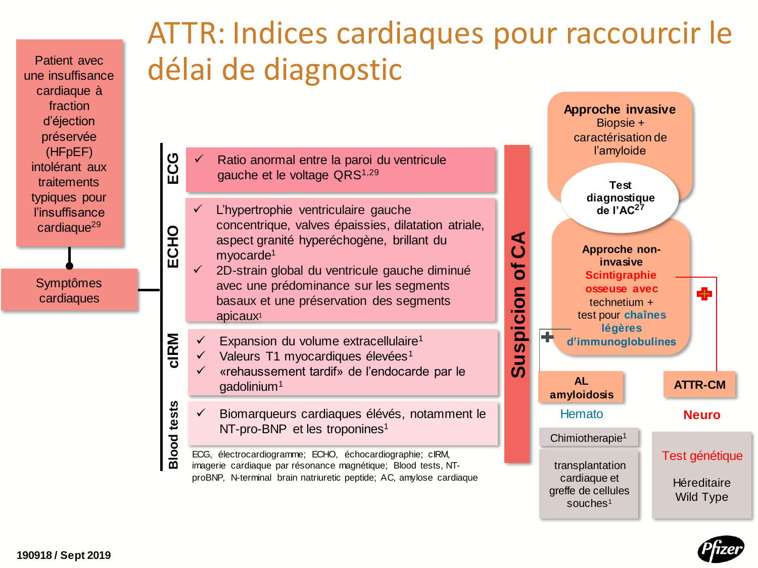Patient avec une insuffisance cardiaque à fraction d'éjection préservée (HFpEF) intolérant aux traitements typiques pour l'insuffisance cardiaque<sup>29</sup>

**ECG**

**ECHO**

**cIRM**

**Blood tests**

Symptômes cardiaques

## ATTR: Indices cardiaques pour raccourcir le délai de diagnostic

✓ Ratio anormal entre la paroi du ventricule gauche et le voltage QRS<sup>1,29</sup>

L'hypertrophie ventriculaire gauche concentrique, valves épaissies, dilatation atriale, aspect granité hyperéchogène, brillant du myocarde<sup>1</sup>

✓ 2D-strain global du ventricule gauche diminué avec une prédominance sur les segments basaux et une préservation des segments apicaux<sup>1</sup>

Expansion du volume extracellulaire<sup>1</sup>

Valeurs T1 myocardiques élevées<sup>1</sup>

✓ «rehaussement tardif» de l'endocarde par le gadolinium<sup>1</sup>

✓ Biomarqueurs cardiaques élévés, notamment le NT-pro-BNP et les troponines<sup>1</sup>

ECG, électrocardiogramme; ECHO, échocardiographie; cIRM, imagerie cardiaque par résonance magnétique; Blood tests, NTproBNP, N-terminal brain natriuretic peptide; AC, amylose cardiaque



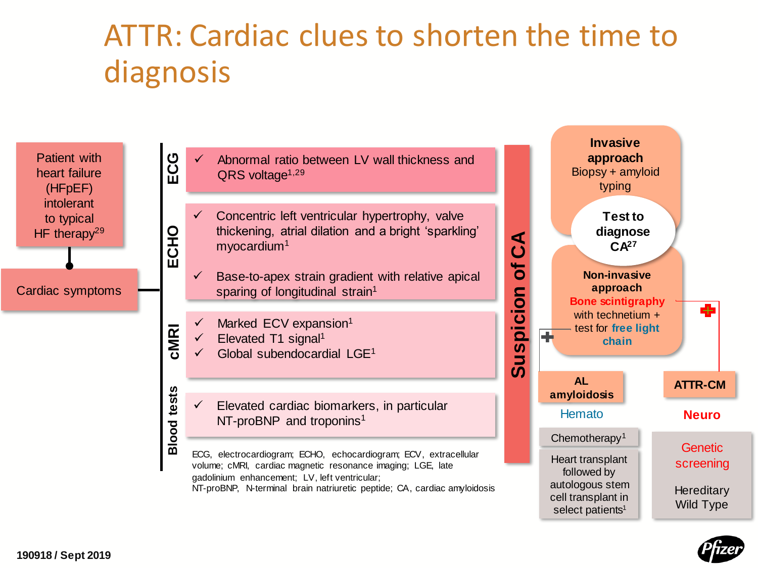## ATTR: Cardiac clues to shorten the time to diagnosis



- ✓ Abnormal ratio between LV wall thickness and  $QRS$  voltage<sup> $1,29$ </sup>
- $\checkmark$  Concentric left ventricular hypertrophy, valve thickening, atrial dilation and a bright 'sparkling' myocardium<sup>1</sup>
- $\checkmark$  Base-to-apex strain gradient with relative apical sparing of longitudinal strain<sup>1</sup>
- $\checkmark$  Marked ECV expansion<sup>1</sup>
- $\checkmark$  Elevated T1 signal<sup>1</sup>
- $\checkmark$  Global subendocardial LGE<sup>1</sup>
- $\checkmark$  Elevated cardiac biomarkers, in particular NT-proBNP and troponins<sup>1</sup>
- ECG, electrocardiogram; ECHO, echocardiogram; ECV, extracellular volume; cMRI, cardiac magnetic resonance imaging; LGE, late gadolinium enhancement; LV, left ventricular;